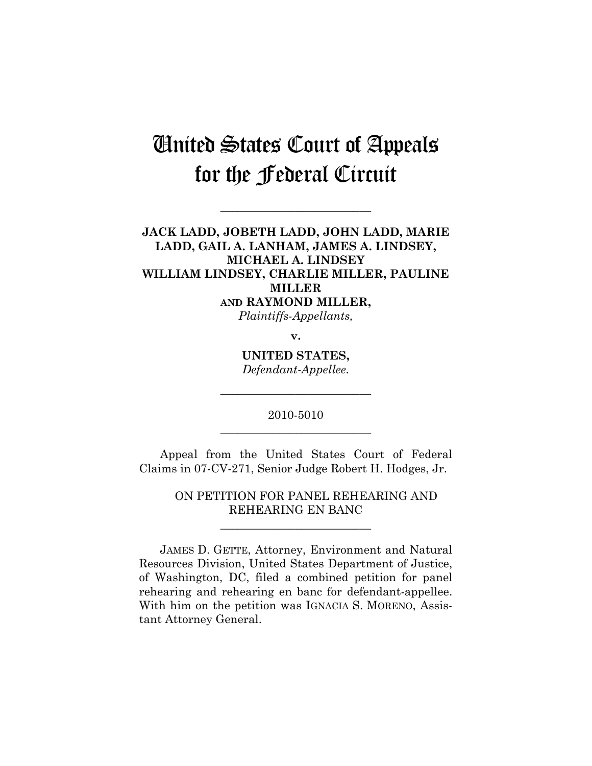## United States Court of Appeals for the Federal Circuit

**\_\_\_\_\_\_\_\_\_\_\_\_\_\_\_\_\_\_\_\_\_\_\_\_\_\_** 

**JACK LADD, JOBETH LADD, JOHN LADD, MARIE LADD, GAIL A. LANHAM, JAMES A. LINDSEY, MICHAEL A. LINDSEY WILLIAM LINDSEY, CHARLIE MILLER, PAULINE MILLER AND RAYMOND MILLER,** 

*Plaintiffs-Appellants,* 

**v.** 

**UNITED STATES,**  *Defendant-Appellee.* 

**\_\_\_\_\_\_\_\_\_\_\_\_\_\_\_\_\_\_\_\_\_\_\_\_\_\_** 

2010-5010 **\_\_\_\_\_\_\_\_\_\_\_\_\_\_\_\_\_\_\_\_\_\_\_\_\_\_** 

Appeal from the United States Court of Federal Claims in 07-CV-271, Senior Judge Robert H. Hodges, Jr.

> ON PETITION FOR PANEL REHEARING AND REHEARING EN BANC

> > **\_\_\_\_\_\_\_\_\_\_\_\_\_\_\_\_\_\_\_\_\_\_\_\_\_\_**

 JAMES D. GETTE, Attorney, Environment and Natural Resources Division, United States Department of Justice, of Washington, DC, filed a combined petition for panel rehearing and rehearing en banc for defendant-appellee. With him on the petition was IGNACIA S. MORENO, Assistant Attorney General.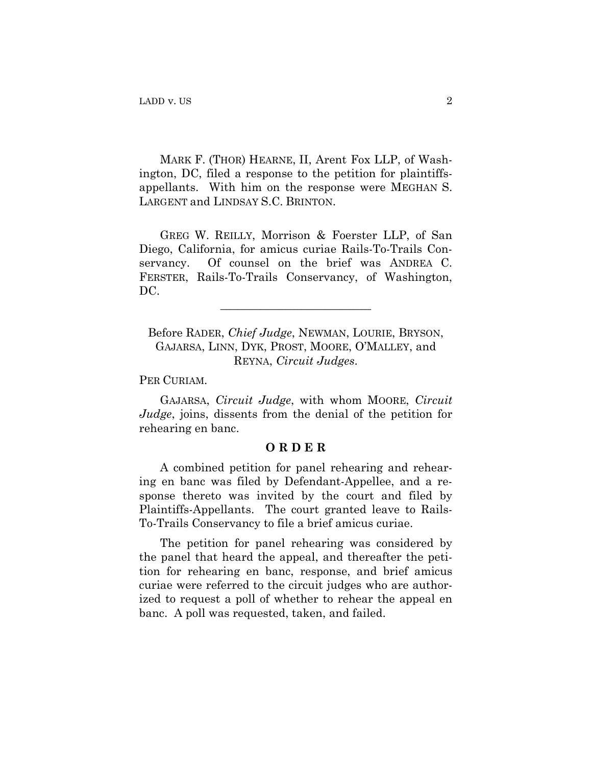MARK F. (THOR) HEARNE, II, Arent Fox LLP, of Washington, DC, filed a response to the petition for plaintiffsappellants. With him on the response were MEGHAN S. LARGENT and LINDSAY S.C. BRINTON.

GREG W. REILLY, Morrison & Foerster LLP, of San Diego, California, for amicus curiae Rails-To-Trails Conservancy. Of counsel on the brief was ANDREA C. FERSTER, Rails-To-Trails Conservancy, of Washington, DC.

Before RADER, *Chief Judge*, NEWMAN, LOURIE, BRYSON, GAJARSA, LINN, DYK, PROST, MOORE, O'MALLEY, and REYNA, *Circuit Judges*.

\_\_\_\_\_\_\_\_\_\_\_\_\_\_\_\_\_\_\_\_\_\_\_\_\_\_

PER CURIAM.

GAJARSA, *Circuit Judge*, with whom MOORE, *Circuit Judge*, joins, dissents from the denial of the petition for rehearing en banc.

## **O R D E R**

A combined petition for panel rehearing and rehearing en banc was filed by Defendant-Appellee, and a response thereto was invited by the court and filed by Plaintiffs-Appellants. The court granted leave to Rails-To-Trails Conservancy to file a brief amicus curiae.

The petition for panel rehearing was considered by the panel that heard the appeal, and thereafter the petition for rehearing en banc, response, and brief amicus curiae were referred to the circuit judges who are authorized to request a poll of whether to rehear the appeal en banc. A poll was requested, taken, and failed.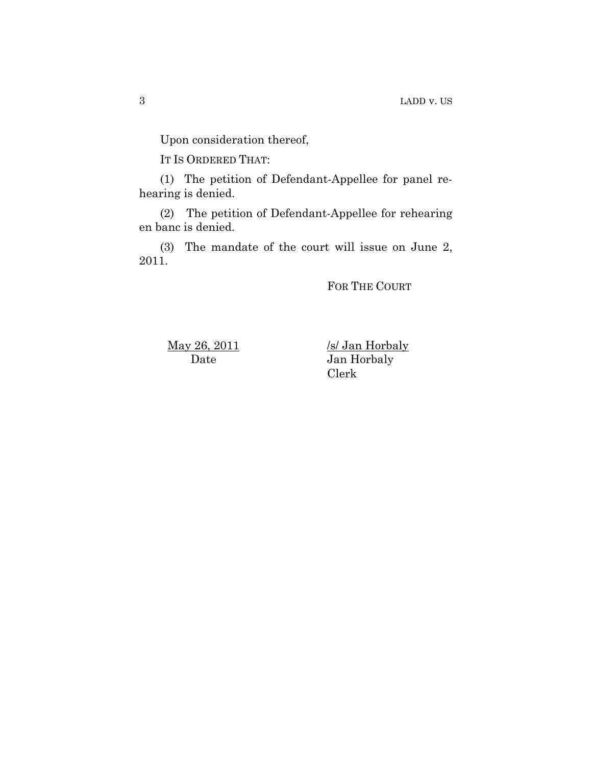Upon consideration thereof,

IT IS ORDERED THAT:

(1) The petition of Defendant-Appellee for panel rehearing is denied.

(2) The petition of Defendant-Appellee for rehearing en banc is denied.

(3) The mandate of the court will issue on June 2, 2011.

FOR THE COURT

May 26, 2011 Date

/s/ Jan Horbaly Jan Horbaly Clerk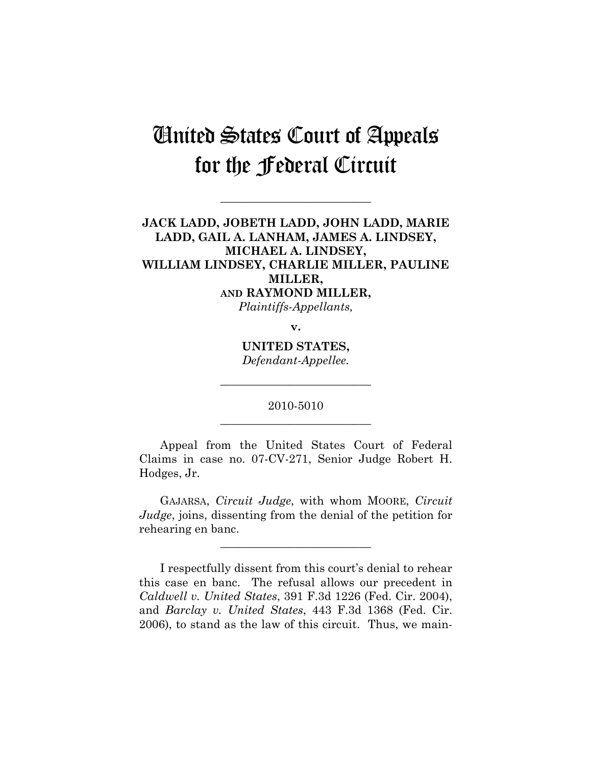## United States Court of Appeals for the Federal Circuit

**\_\_\_\_\_\_\_\_\_\_\_\_\_\_\_\_\_\_\_\_\_\_\_\_\_\_** 

**JACK LADD, JOBETH LADD, JOHN LADD, MARIE LADD, GAIL A. LANHAM, JAMES A. LINDSEY, MICHAEL A. LINDSEY, WILLIAM LINDSEY, CHARLIE MILLER, PAULINE MILLER, AND RAYMOND MILLER,** 

*Plaintiffs-Appellants,* 

**v.** 

**UNITED STATES,**  *Defendant-Appellee.* 

**\_\_\_\_\_\_\_\_\_\_\_\_\_\_\_\_\_\_\_\_\_\_\_\_\_\_** 

2010-5010 **\_\_\_\_\_\_\_\_\_\_\_\_\_\_\_\_\_\_\_\_\_\_\_\_\_\_** 

Appeal from the United States Court of Federal Claims in case no. 07-CV-271, Senior Judge Robert H. Hodges, Jr.

GAJARSA, *Circuit Judge*, with whom MOORE, *Circuit Judge*, joins, dissenting from the denial of the petition for rehearing en banc.

**\_\_\_\_\_\_\_\_\_\_\_\_\_\_\_\_\_\_\_\_\_\_\_\_\_\_** 

I respectfully dissent from this court's denial to rehear this case en banc. The refusal allows our precedent in *Caldwell v. United States*, 391 F.3d 1226 (Fed. Cir. 2004), and *Barclay v. United States*, 443 F.3d 1368 (Fed. Cir. 2006), to stand as the law of this circuit. Thus, we main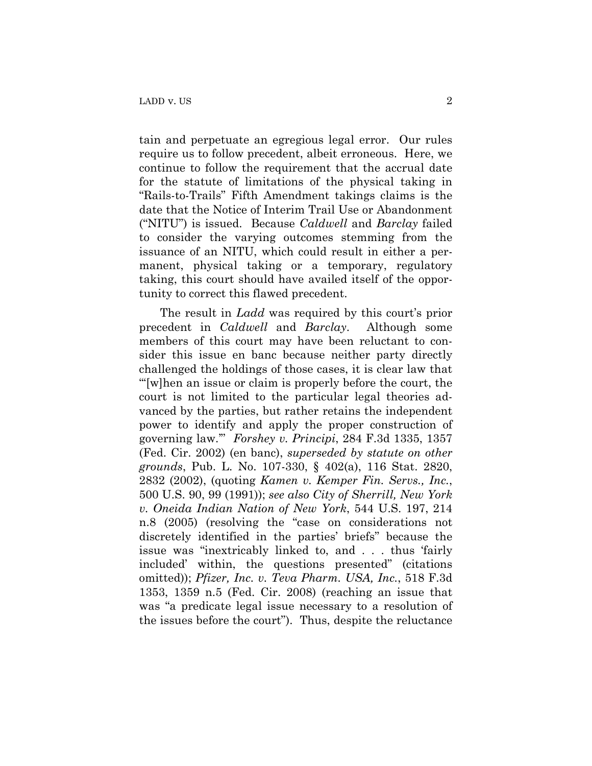tain and perpetuate an egregious legal error. Our rules require us to follow precedent, albeit erroneous. Here, we continue to follow the requirement that the accrual date for the statute of limitations of the physical taking in "Rails-to-Trails" Fifth Amendment takings claims is the date that the Notice of Interim Trail Use or Abandonment ("NITU") is issued. Because *Caldwell* and *Barclay* failed to consider the varying outcomes stemming from the issuance of an NITU, which could result in either a permanent, physical taking or a temporary, regulatory taking, this court should have availed itself of the opportunity to correct this flawed precedent.

The result in *Ladd* was required by this court's prior precedent in *Caldwell* and *Barclay*. Although some members of this court may have been reluctant to consider this issue en banc because neither party directly challenged the holdings of those cases, it is clear law that "'[w]hen an issue or claim is properly before the court, the court is not limited to the particular legal theories advanced by the parties, but rather retains the independent power to identify and apply the proper construction of governing law.'" *Forshey v. Principi*, 284 F.3d 1335, 1357 (Fed. Cir. 2002) (en banc), *superseded by statute on other grounds*, Pub. L. No. 107-330, § 402(a), 116 Stat. 2820, 2832 (2002), (quoting *Kamen v. Kemper Fin. Servs., Inc.*, 500 U.S. 90, 99 (1991)); *see also City of Sherrill, New York v. Oneida Indian Nation of New York*, 544 U.S. 197, 214 n.8 (2005) (resolving the "case on considerations not discretely identified in the parties' briefs" because the issue was "inextricably linked to, and . . . thus 'fairly included' within, the questions presented" (citations omitted)); *Pfizer, Inc. v. Teva Pharm. USA, Inc.*, 518 F.3d 1353, 1359 n.5 (Fed. Cir. 2008) (reaching an issue that was "a predicate legal issue necessary to a resolution of the issues before the court"). Thus, despite the reluctance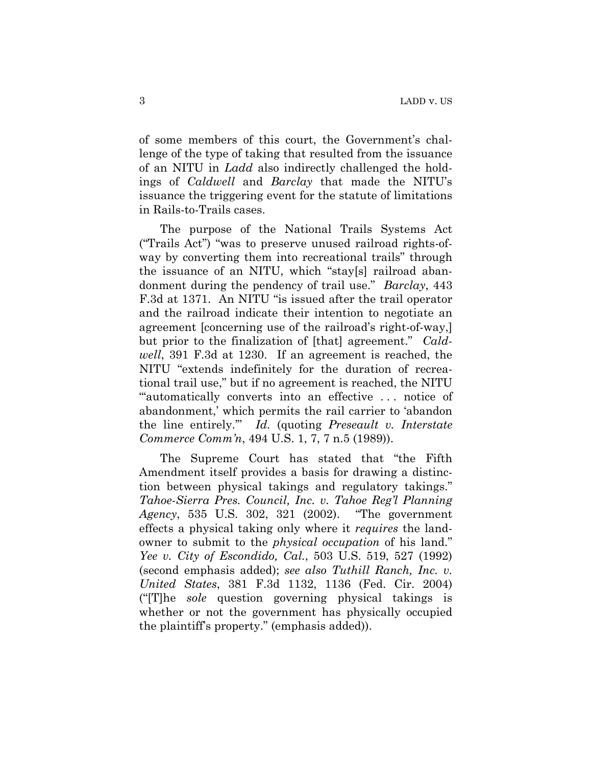of some members of this court, the Government's challenge of the type of taking that resulted from the issuance of an NITU in *Ladd* also indirectly challenged the holdings of *Caldwell* and *Barclay* that made the NITU's issuance the triggering event for the statute of limitations in Rails-to-Trails cases.

The purpose of the National Trails Systems Act ("Trails Act") "was to preserve unused railroad rights-ofway by converting them into recreational trails" through the issuance of an NITU, which "stay[s] railroad abandonment during the pendency of trail use." *Barclay*, 443 F.3d at 1371. An NITU "is issued after the trail operator and the railroad indicate their intention to negotiate an agreement [concerning use of the railroad's right-of-way,] but prior to the finalization of [that] agreement." *Caldwell*, 391 F.3d at 1230. If an agreement is reached, the NITU "extends indefinitely for the duration of recreational trail use," but if no agreement is reached, the NITU ""automatically converts into an effective ... notice of abandonment,' which permits the rail carrier to 'abandon the line entirely.'" *Id.* (quoting *Preseault v. Interstate Commerce Comm'n*, 494 U.S. 1, 7, 7 n.5 (1989)).

The Supreme Court has stated that "the Fifth Amendment itself provides a basis for drawing a distinction between physical takings and regulatory takings." *Tahoe-Sierra Pres. Council, Inc. v. Tahoe Reg'l Planning Agency*, 535 U.S. 302, 321 (2002). "The government effects a physical taking only where it *requires* the landowner to submit to the *physical occupation* of his land." *Yee v. City of Escondido, Cal.*, 503 U.S. 519, 527 (1992) (second emphasis added); *see also Tuthill Ranch, Inc. v. United States*, 381 F.3d 1132, 1136 (Fed. Cir. 2004) ("[T]he *sole* question governing physical takings is whether or not the government has physically occupied the plaintiff's property." (emphasis added)).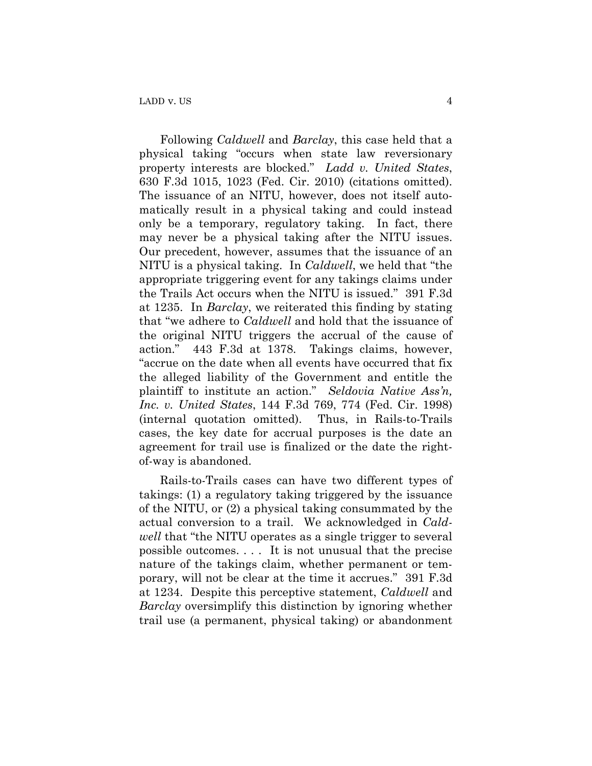Following *Caldwell* and *Barclay*, this case held that a physical taking "occurs when state law reversionary property interests are blocked." *Ladd v. United States*, 630 F.3d 1015, 1023 (Fed. Cir. 2010) (citations omitted). The issuance of an NITU, however, does not itself automatically result in a physical taking and could instead only be a temporary, regulatory taking. In fact, there may never be a physical taking after the NITU issues. Our precedent, however, assumes that the issuance of an NITU is a physical taking. In *Caldwell*, we held that "the appropriate triggering event for any takings claims under the Trails Act occurs when the NITU is issued." 391 F.3d at 1235. In *Barclay*, we reiterated this finding by stating that "we adhere to *Caldwell* and hold that the issuance of the original NITU triggers the accrual of the cause of action." 443 F.3d at 1378. Takings claims, however, "accrue on the date when all events have occurred that fix the alleged liability of the Government and entitle the plaintiff to institute an action." *Seldovia Native Ass'n, Inc. v. United States*, 144 F.3d 769, 774 (Fed. Cir. 1998) (internal quotation omitted). Thus, in Rails-to-Trails cases, the key date for accrual purposes is the date an agreement for trail use is finalized or the date the rightof-way is abandoned.

Rails-to-Trails cases can have two different types of takings: (1) a regulatory taking triggered by the issuance of the NITU, or (2) a physical taking consummated by the actual conversion to a trail. We acknowledged in *Caldwell* that "the NITU operates as a single trigger to several possible outcomes. . . . It is not unusual that the precise nature of the takings claim, whether permanent or temporary, will not be clear at the time it accrues." 391 F.3d at 1234. Despite this perceptive statement, *Caldwell* and *Barclay* oversimplify this distinction by ignoring whether trail use (a permanent, physical taking) or abandonment